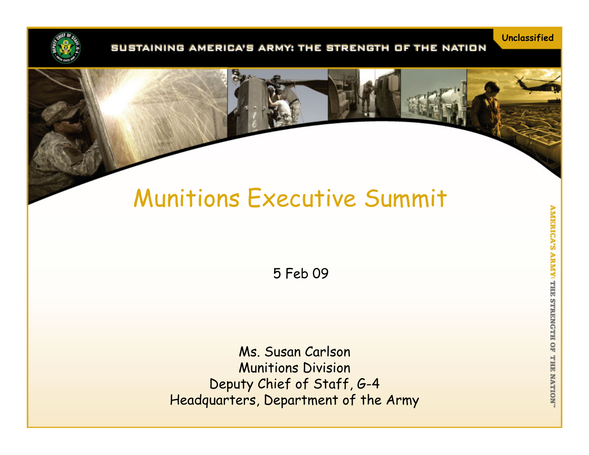

#### SUSTAINING AMERICA'S ARMY: THE STRENGTH OF THE NATION

# Munitions Executive Summit

5 Feb 09

Ms. Susan Carlson Munitions Division Deputy Chief of Staff, G-4 Headquarters, Department of the Army **Unclassified**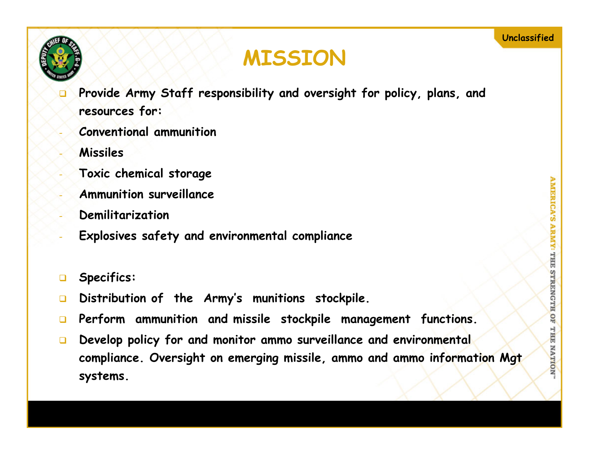

## **MISSION**

- ◘ **Provide Army Staff responsibility and oversight for policy, plans, and resources for:**
- **Conventional ammunition**
- **Missiles**
- **Toxic chemical storage**
- **Ammunition surveillance**
- **Demilitarization**
- **Explosives safety and environmental compliance**
- $\Box$ **Specifics:**
- $\Box$ **Distribution of the Army's munitions stockpile.**
- $\Box$ **Perform ammunition and missile stockpile management functions.**
- $\Box$  **Develop policy for and monitor ammo surveillance and environmental compliance. Oversight on emerging missile, ammo and ammo information Mgt systems.**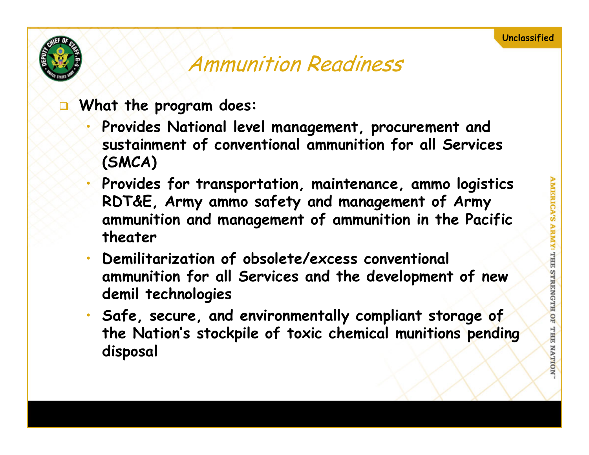

## Ammunition Readiness

- □ **What the program does:**
	- • **Provides National level management, procurement and sustainment of conventional ammunition for all Services (SMCA)**
	- • **Provides for transportation, maintenance, ammo logistics RDT&E, Army ammo safety and management of Army ammunition and management of ammunition in the Pacific theater**
	- • **Demilitarization of obsolete/excess conventional ammunition for all Services and the development of new demil technologies**
	- **Safe, secure, and environmentally compliant storage of the Nation's stockpile of toxic chemical munitions pending disposal**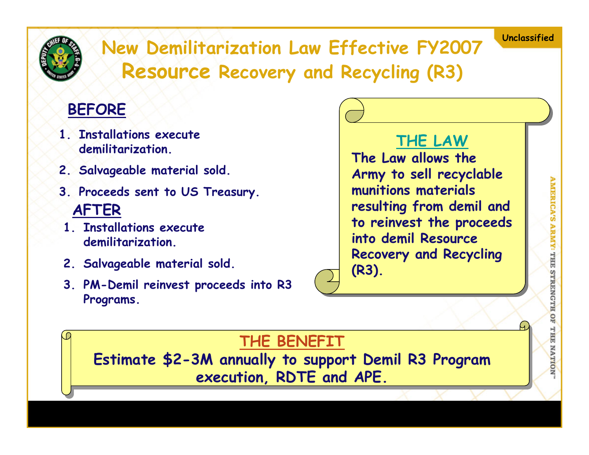<span id="page-3-0"></span>

**Unclassified New Demilitarization Law Effective FY2007 Resource Recovery and Recycling (R3)**

#### **BEFORE**

- **1. Installations execute demilitarization.**
- **2. Salvageable material sold.**
- **3. Proceeds sent to US Treasury. AFTER**
- **1. Installations execute demilitarization.**
- **2. Salvageable material sold.**
- **3. PM-Demil reinvest proceeds into R3 Programs.**

### **[THE LAW](#page-3-0)**

**The Law allows the Army to sell recyclable munitions materials resulting from demil and to reinvest the proceeds into demil Resource Recovery and Recycling (R3).**

#### **THE BENEFIT**

**Estimate \$2-3M annually to support Demil R3 Program execution, RDTE and APE.**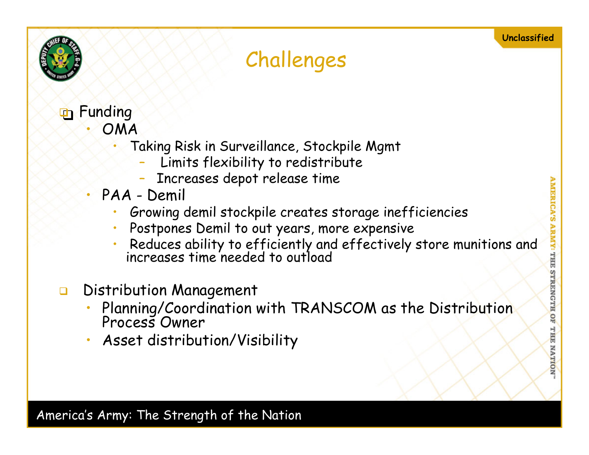

# Challenges

- **P** Funding
	- • OMA
		- • Taking Risk in Surveillance, Stockpile Mgmt
			- Limits flexibility to redistribute
			- –Increases depot release time
	- • PAA - Demil
		- •Growing demil stockpile creates storage inefficiencies
		- •Postpones Demil to out years, more expensive
		- •Reduces ability to efficiently and effectively store munitions and increases time needed to outload
- $\Box$  Distribution Management
	- •Planning/Coordination with TRANSCOM as the Distribution Process Owner
	- •Asset distribution/Visibility